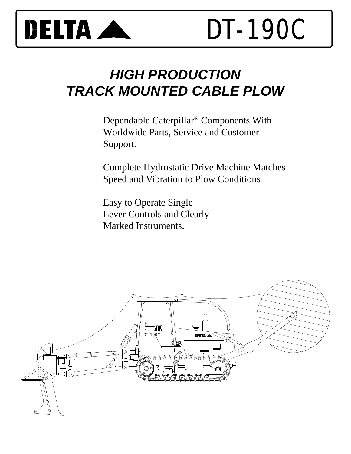

# *HIGH PRODUCTION TRACK MOUNTED CABLE PLOW*

Dependable Caterpillar® Components With Worldwide Parts, Service and Customer Support.

Complete Hydrostatic Drive Machine Matches Speed and Vibration to Plow Conditions

Easy to Operate Single Lever Controls and Clearly Marked Instruments.

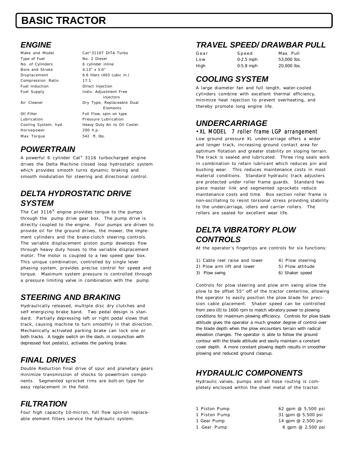## **BASIC TRACTOR**

## *ENGINE*

Make and Model Cat<sup>®</sup> 3116T DITA Turbo Type of Fuel No. 2 Diesel No. of Cylinders 6 cylinder inline Bore and Stroke 4.13" x 5.0" Compression Ratio 17:1 Fuel Induction **Direct Injection** 

Horsepower 200 h.p. Max Torque 542 ft. lbs.

Displacement 6.6 liters (403 cubic in.) Fuel Supply **Indiv. Adjustment Free** injectors Air Cleaner **Dry Type, Replaceable Dual** Elements Oil Filter Full Flow, spin on type Lubrication Pressure Lubrication Cooling System, hyd. Heavy Duty Air to Oil Cooler.

### *POWERTRAIN*

A powerful 6 cylinder Cat® 3116 turbocharged engine drives the Delta Machine closed loop hydrostatic system which provides smooth turns dynamic braking and smooth modulation for steering and directional control.

## *DELTA HYDROSTATIC DRIVE SYSTEM*

The Cat 3116 $^\circledR$  engine provides torque to the pumps through the pump drive gear box. The pump drive is directly coupled to the engine. Four pumps are driven to provide oil for the ground drives, the mower, the implement cylinders and the brake-clutch steering controls. The variable displacement piston pump develops flow through heavy duty hoses to the variable displacement motor. The motor is coupled to a two speed gear box. This unique combination, controlled by single lever phasing system, provides precise control for speed and torque. Maximum system pressure is controlled through a pressure limiting valve in combination with the pump.

## *STEERING AND BRAKING*

Hydraulically released, multiple disc dry clutches and self energizing brake band. Two pedal design is standard. Partially depressing left or right pedal slows that track, causing machine to turn smoothly in that direction. Mechanically activated parking brake can lock one or both tracks. A toggle switch on the dash, in conjunction with depressed foot pedal(s), activates the parking brake.

## *FINAL DRIVES*

Double Reduction final drive of spur and planetary gears minimize transmission of shocks to powertrain components. Segmented sprocket rims are bolt-on type for easy replacement in the field.

## *FILTRATION*

Four high capacity 10-micron, full flow spin-on replaceable element filters service the hydraulic system.

## *TRAVEL SPEED/ DRAWBAR PULL*

| Gear | Speed       | Max. Pull   |
|------|-------------|-------------|
| Low  | $0-2.5$ mph | 53,000 lbs. |
| High | $0-5.8$ mph | 20,000 lbs. |

## *COOLING SYSTEM*

A large diameter fan and full length, water-cooled cylinders combine with excellent thermal efficiency, minimize heat rejection to prevent overheating, and thereby promote long engine life.

## *UNDERCARRIAGE*

#### •XL MODEL 7 roller frame LGP arrangement

Low ground pressure XL undercarriage offers a wider and longer track, increasing ground contact area for optimum flotation and greater stability on sloping terrain. The track is sealed and lubricated. Three ring seals work in combination to retain lubricant which reduces pin and bushing wear. This reduces maintenance costs in most material conditions. Standard hydraulic track adjusters are protected under roller frame guards. Standard two piece master link and segmented sprockets reduce maintenance costs and time. Box section roller frame is non-oscillating to resist torsional stress providing stability to the undercarriage, idlers and carrier rollers. The rollers are sealed for excellent wear life.

## *DELTA VIBRATORY PLOW CONTROLS*

At the operator's fingertips are controls for six functions:

- 1) Cable reel raise and lower 4) Plow steering
	-
	-
- 2) Plow arm lift and lower 5) Plow attitude
- 3) Plow swing extending the control of the Shaker speed

Controls for plow steering and plow arm swing allow the plow to be offset 55" off of the tractor centerline, allowing the operator to easily position the plow blade for precision cable placement. Shaker speed can be controlled from zero (0) to 1600 rpm to match vibratory power to plowing conditions for maximum plowing efficiency. Controls for plow blade attitude gives the operator a much greater degree of control over the blade depth when the plow encounters terrain with radical elevation changes. The operator is able to follow the ground contour with the blade attitude and easily maintain a constant cover depth. A more constant plowing depth results in smoother plowing and reduced ground cleanup.

## *HYDRAULIC COMPONENTS*

Hydraulic valves, pumps and all hose routing is completely enclosed within the sheet metal of the tractor.

- 
- 
- 
- 
- 1 Piston Pump 62 gpm @ 5,500 psi 1 Piston Pump 31 gpm @ 5,500 psi 1 Gear Pump 14 gpm @ 2,500 psi 1 Gear Pump 6 gpm @ 2,500 psi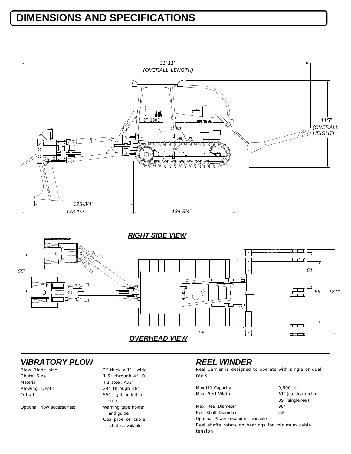## **DIMENSIONS AND SPECIFICATIONS**



*RIGHT SIDE VIEW*



### *VIBRATORY PLOW*

| Chute Size<br>Material<br>Plowing Depth | Plow Blade size |  |  |
|-----------------------------------------|-----------------|--|--|
|                                         |                 |  |  |
|                                         |                 |  |  |
|                                         |                 |  |  |
|                                         | Offset          |  |  |

Optional Plow accessories: Warning tape holder

#### 2" thick x 11" wide 1.5" through  $4"$  ID T-1 steel, A514 24" through 48" 55" right or left of center and guide Gas pipe or cable chutes available

#### *REEL WINDER*

Reel Carrier is designed to operate with single or dual reels.

| Max Lift Capacity                                | $9.500$ lbs.         |
|--------------------------------------------------|----------------------|
| Max. Reel Width                                  | 51" (ea. dual reels) |
|                                                  | 89" (single reel)    |
| Max. Reel Diameter                               | 96"                  |
| Reel Shaft Diameter                              | 2.5"                 |
| Optional Power unwind is available               |                      |
| Reel shafts rotate on bearings for minimum cable |                      |
| tension.                                         |                      |